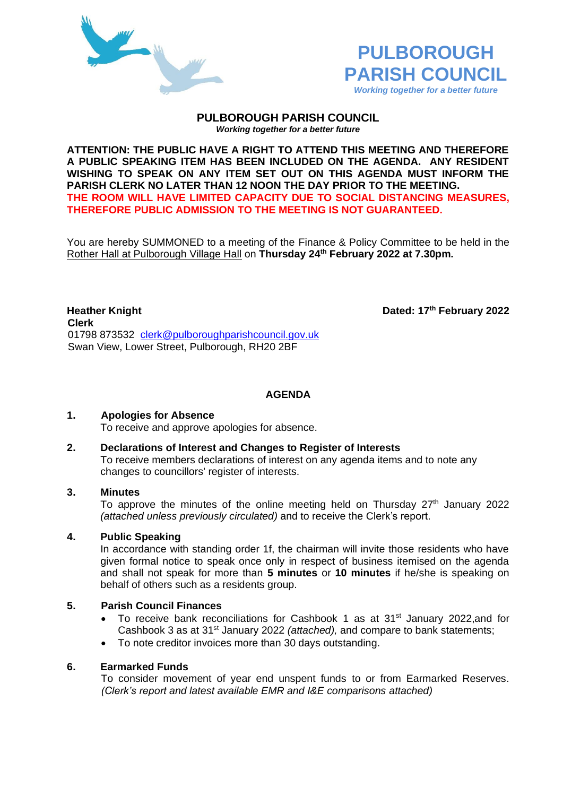



### **PULBOROUGH PARISH COUNCIL** *Working together for a better future*

**ATTENTION: THE PUBLIC HAVE A RIGHT TO ATTEND THIS MEETING AND THEREFORE A PUBLIC SPEAKING ITEM HAS BEEN INCLUDED ON THE AGENDA. ANY RESIDENT WISHING TO SPEAK ON ANY ITEM SET OUT ON THIS AGENDA MUST INFORM THE PARISH CLERK NO LATER THAN 12 NOON THE DAY PRIOR TO THE MEETING. THE ROOM WILL HAVE LIMITED CAPACITY DUE TO SOCIAL DISTANCING MEASURES, THEREFORE PUBLIC ADMISSION TO THE MEETING IS NOT GUARANTEED.**

You are hereby SUMMONED to a meeting of the Finance & Policy Committee to be held in the Rother Hall at Pulborough Village Hall on **Thursday 24th February 2022 at 7.30pm.** 

**Heather Knight Dated: 17<sup>th</sup> February** 2022 **Clerk** 01798 873532 [clerk@pulboroughparishcouncil.gov.uk](mailto:clerk@pulboroughparishcouncil.gov.uk) Swan View, Lower Street, Pulborough, RH20 2BF

**AGENDA**

## **1. Apologies for Absence**

To receive and approve apologies for absence.

### **2. Declarations of Interest and Changes to Register of Interests**

To receive members declarations of interest on any agenda items and to note any changes to councillors' register of interests.

### **3. Minutes**

To approve the minutes of the online meeting held on Thursday  $27<sup>th</sup>$  January 2022 *(attached unless previously circulated)* and to receive the Clerk's report.

## **4. Public Speaking**

In accordance with standing order 1f, the chairman will invite those residents who have given formal notice to speak once only in respect of business itemised on the agenda and shall not speak for more than **5 minutes** or **10 minutes** if he/she is speaking on behalf of others such as a residents group.

# **5. Parish Council Finances**

- To receive bank reconciliations for Cashbook 1 as at 31<sup>st</sup> January 2022,and for Cashbook 3 as at 31st January 2022 *(attached),* and compare to bank statements;
- To note creditor invoices more than 30 days outstanding.

# **6. Earmarked Funds**

To consider movement of year end unspent funds to or from Earmarked Reserves. *(Clerk's report and latest available EMR and I&E comparisons attached)*